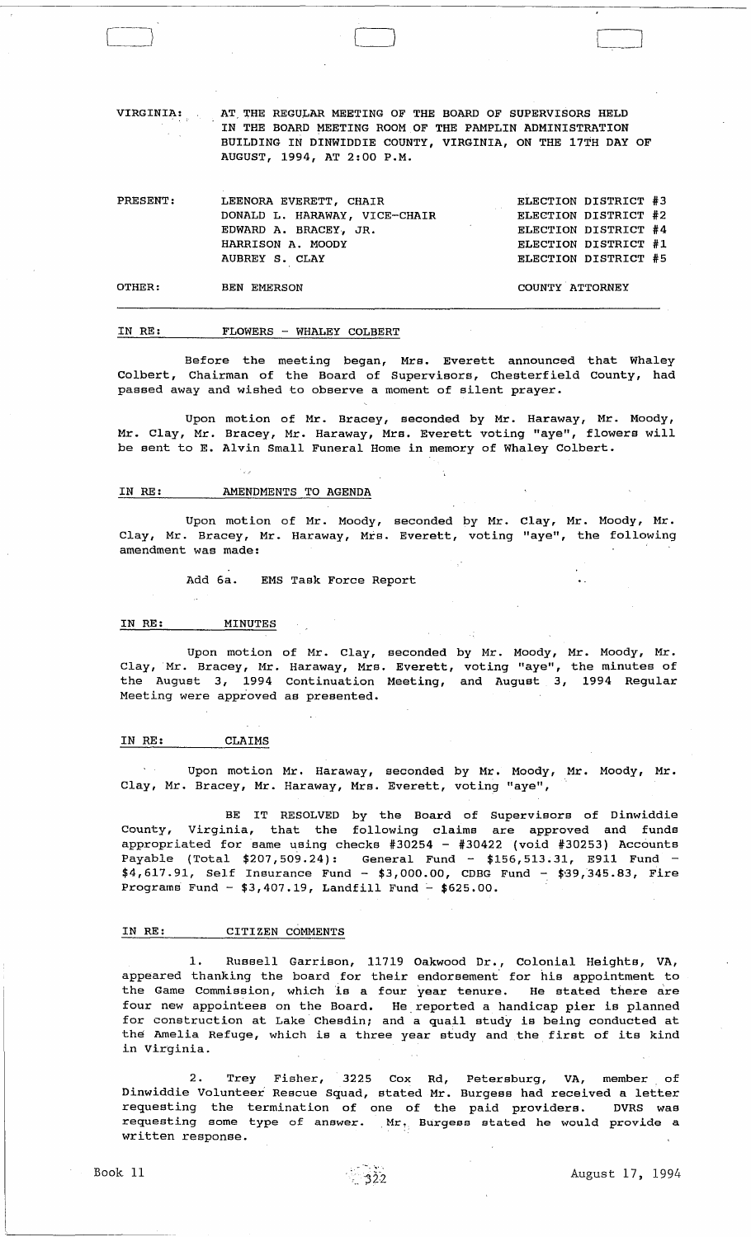VIRGINIA: AT THE REGULAR MEETING OF THE BOARD OF SUPERVISORS HELD IN THE BOARD MEETING ROOM OF THE PAMPLIN ADMINISTRATION BUILDING IN DINWIDDIE COUNTY, VIRGINIA, ON THE 17TH DAY OF AUGUST, 1994, AT 2:00 P.M.

| PRESENT: | LEENORA EVERETT, CHAIR        | ELECTION DISTRICT #3 |
|----------|-------------------------------|----------------------|
|          | DONALD L. HARAWAY, VICE-CHAIR | ELECTION DISTRICT #2 |
|          | EDWARD A. BRACEY, JR.         | ELECTION DISTRICT #4 |
|          | HARRISON A. MOODY             | ELECTION DISTRICT #1 |
|          | AUBREY S. CLAY                | ELECTION DISTRICT #5 |
| OTHER:   | <b>BEN EMERSON</b>            | COUNTY ATTORNEY      |

#### IN RE: FLOWERS - WHALEY COLBERT

Before the meeting began, Mrs. Everett announced that Whaley Colbert, Chairman of the Board of Supervisors, Chesterfield County, had passed away and wished to observe a moment of silent prayer.

Upon motion of Mr. Bracey, seconded by Mr. Haraway, Mr. Moody, Mr. Clay, Mr. Bracey, Mr. Haraway, Mrs. Everett voting "aye", flowers will be sent to E. Alvin Small Funeral Home in memory of Whaley Colbert.

#### IN RE: AMENDMENTS TO AGENDA

Upon motion of Mr. Moody, seconded by Mr. Clay, Mr. Moody, Mr. Clay, Mr. Bracey, Mr. Haraway, Mrs. Everett, voting "aye", the following amendment was made:

Add 6a. EMS Task Force Report

#### IN RE: MINUTES

Cj <sup>2</sup>

Upon motion of Mr. Clay, seconded by Mr. Moody, Mr. Moody, Mr. Clay, Mr. Bracey, Mr. Haraway, Mrs. Everett, voting "aye", the minutes of the August 3, 1994 Continuation Meeting, and August 3, 1994 Regular Meeting were approved as presented.

## IN RE: CLAIMS

Upon motion Mr. Haraway, seconded by Mr. Moody, Mr. Moody, Mr. Clay, Mr. Bracey, Mr. Haraway, Mrs. Everett, voting "aye",

BE IT RESOLVED by the Board of Supervisors of Dinwiddie County, Virginia, that the following claims are approved and funds appropriated for same using checks #30254 - #30422 (void #30253) Accounts Payable (Total \$207,509.24): General Fund - \$156,513.31, E911 Fund  $$4,617.91$ , Self Insurance Fund - \$3,000.00, CDBG Fund - \$39,345.83, Fire Programs Fund -  $$3,407.19$ , Landfill Fund -  $$625.00$ .

## IN RE: CITIZEN COMMENTS

1. Russell Garrison, 11719 Oakwood Dr., Colonial Heights, VA, appeared thanking the board for their endorsement for his appointment to the Game Commission, which 1s a four year tenure. He stated there are four new appointees on the Board. He,reported a handicap pier is planned for construction at Lake' Chesdin; and a quail study is being conducted at the Amelia Refuge, which is a three year study and the first of its kind in Virginia.

2. Trey Fisher, 3225 Cox Rd, Petersburg, VA, member of Dinwiddie Volunteer Rescue Squad, stated Mr. Burgess had received a letter requesting the termination of one of the paid providers. DVRS was requesting some type of answer. Mr. Burgess stated he would provide a written response.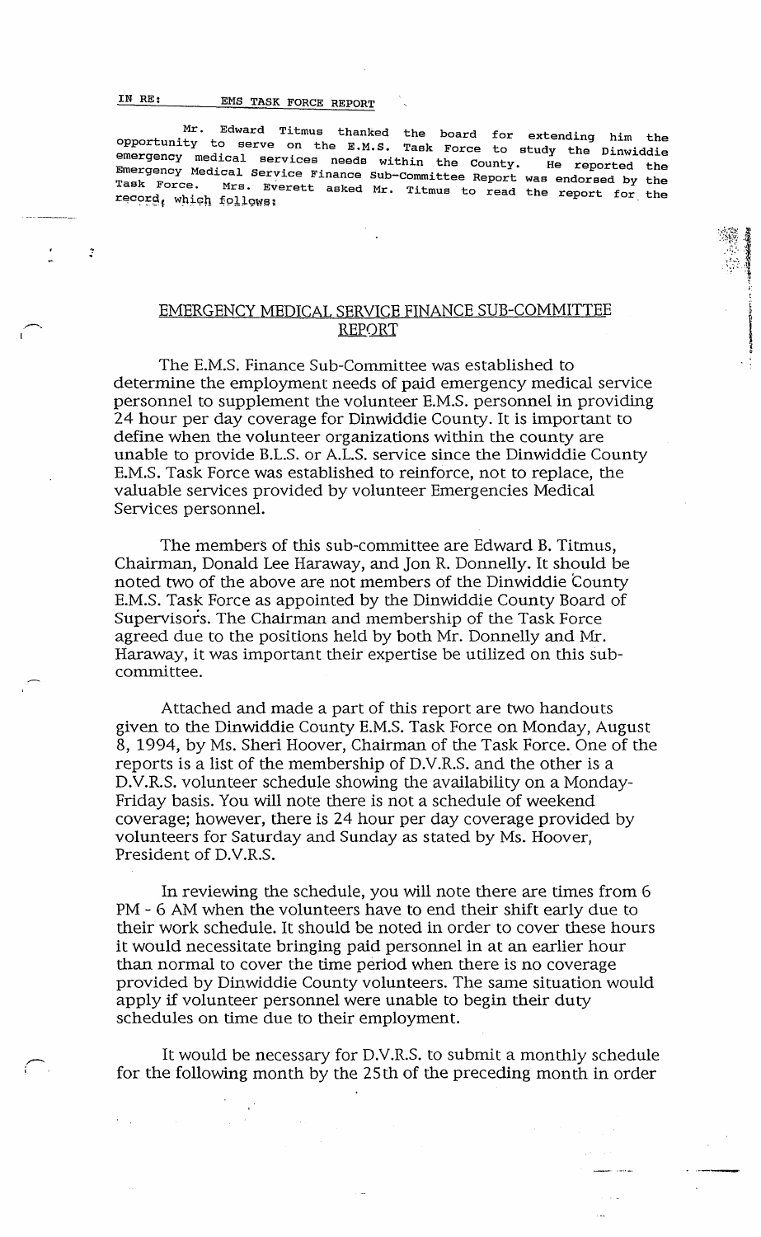# IN RE: EMS TASK FORCE REPORT

 $\overline{\phantom{m}}$ 

~ .

",--. !

Mr. Edward Titmus thanked the board for extending him the opportunity to serve on the E.M.S. Task Force to study the Dinwiddie emergency medical services needs within the County. He reported the Emergency Medical Service Finance Sub-Committee Report was endorsed by the Task Force. Mrs. Everett asked Mr. Titmus to read the report for the record, which follows;

> $\mathbb{R}^n$  is  $^{\prime\prime}$  +  $^{\prime\prime}$   $^{\prime\prime}$  $, '$  "  $\cdot$   $\cdot$   $\cdot$   $\cdot$ t " I

**International Properties** •

# EMERGENCY MEDICAL SERVICE FINANCE SUB-COMMITTEE REPORT

The E.M.S. Finance Sub-Committee was established to determine the employment needs of paid emergency medical service personnel to supplement the volunteer E.M.s. personnel in providing 24 hour per day coverage for Dinwiddie County. It is important to define when the volunteer organizations within the county are unable to provide B.L.S. or A.L.S. service since the Dinwiddie County E.M.S. Task Force was established to reinforce, not to replace, the valuable services provided by volunteer Emergencies Medical Services personnel.

The members of this sub-committee are Edward B. Titmus, Chairman, Donald Lee Haraway, and Jon R. Donnelly. It should be noted two of the above are not members of the Dinwiddie County E.M.S. Task Force as appointed by the Dinwiddie County Board of Supervisors. The Chairman and membership of the Task Force agreed due to the positions held by both Mr. Donnelly and Mr. Haraway, it was important their expertise be utilized on this subcommittee.

Attached and made a part of this report are two handouts given to the Dinwiddie County E.M.S. Task Force on Monday, August 8, 1994, by Ms. Sheri Hoover, Chairman of the Task Force. One of the reports is a list of the membership of D.V.R.S. and the other is a D.V.R.S. volunteer schedule showing the availability on a Monday-Friday basis. You will note there is not a schedule of weekend coverage; however, there is 24 hour per day coverage provided by volunteers for Saturday and Sunday as stated by Ms. Hoover, President of D.V.R.S.

In reviewing the schedule, you will note there are times from 6 PM - 6 AM when the volunteers have to end their shift early due to their work schedule. It should be noted in order to cover these hours it would necessitate bringing paid personnel in at an earlier hour than normal to cover the time period when there is no coverage provided by Dinwiddie County volunteers. The same situation would apply if volunteer personnel were unable to begin their duty schedules on time due to their employment.

It would be necessary for D.V.R.S. to submit a monthly schedule for the following month by the 25th of the preceding month in order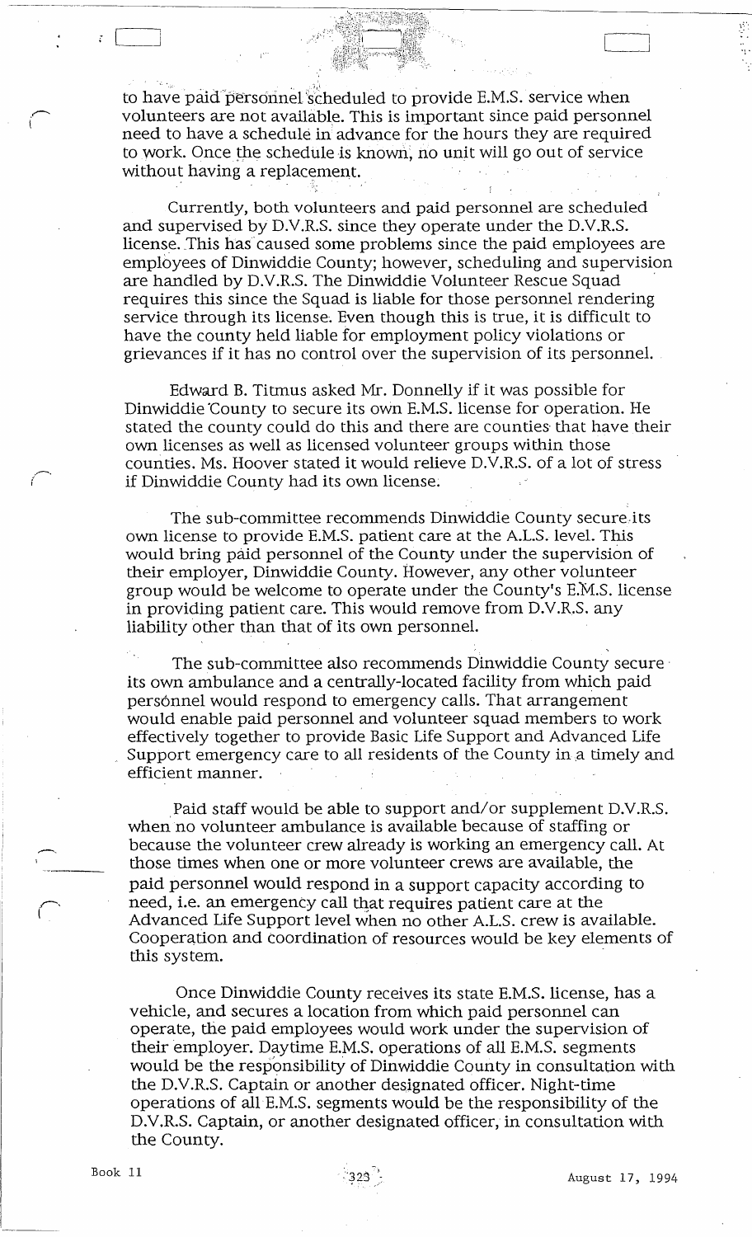to have paid personnel scheduled to provide E.M.S. service when volunteers are not available. This is important since paid personnel need to have a schedule in advance for the hours they are required to work. Once the schedule is known, no unit will go out of service without having a replacement.

Currently, both volunteers and paid personnel are scheduled and supervised by D.V.R.S. since they operate under the D.V.R.S. license. This has'caused some problems since the paid employees are employees of Dinwiddie County; however, scheduling and supervision are handled by D.V.R.S. The Dinwiddie Volunteer Rescue Squad ' requires this since the Squad is liable for those personnel rendering service through its license. Even though this is true, it is difficult to have the county held liable for employment policy violations or grievances if it has no control over the supervision of its personnel.

Edward B. Titmus asked Mr. Donnelly if it was possible for Dinwiddie 'County to secure its own E.M.S. license for operation. He stated the county could do this and there are counties that have their own licenses as well as licensed volunteer groups within those counties. Ms. Hoover stated it would relieve D.V.R.S. of a lot of stress if Dinwiddie County had its own license.

The sub-committee recommends Dinwiddie County secure.its own license to provide E.M.S. patient care at the A.L.S. level. This would bring paid personnel of the County under the supervision of their employer, Dinwiddie County. However, any other volunteer group would be welcome to operate under the County's E.M.s. license in providing patient care. This would remove from D.V.R.S. any liability other than that of its own personnel.

The sub-committee also recommends Dinwiddie County secure' its own ambulance and a centrally-located facility from which paid personnel would respond to emergency calls. That arrangement would enable paid personnel and volunteer squad members to work effectively together to provide Basic Life Support and Advanced Life Support emergency care to all residents of the County in a timely and efficient manner.

Paid staff would be able to support and/or supplement D.V.R.S. when no volunteer ambulance is available because of staffing or because the volunteer crew already is working an emergency call. At those times when one or more volunteer crews are aVailable, the paid personnel would respond in a support capacity according to need, i.e. an emergency call that requires patient care at the Advanced Life Support level when no other A.L.S. crew is available. Cooperation and coordination of resources would be key elements of this system. '

Once Dinwiddie County receives its state E.M.S. license, has a vehicle, and secures a location from which paid personnel can operate, the paid employees would work under the supervision of their employer. Daytime E.M.S. operations of all E.M.S. segments would be the responsibility of Dinwiddie County in consultation with the D.V.R.S. Captain or another designated officer. Night-time operations of alIE.M.S. segments would be the responsibility of the D.V.R.S. Captain, or another designated officer, in consultation with the County.

 $\int_0^\infty$ 

.. -.

J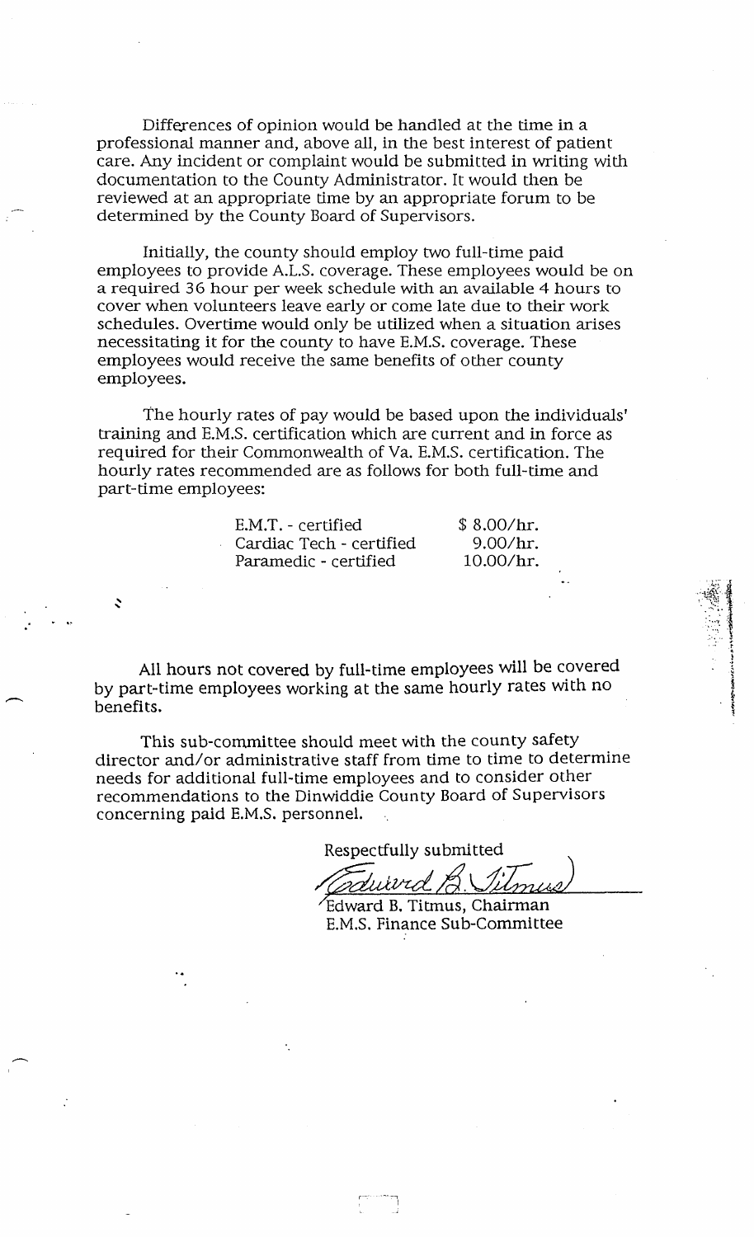Differences of opinion would be handled at the time in a professional manner and, above all, in the best interest of patient care. Any incident or complaint would be submitted in writing with documentation to the County Administrator. It would then be reviewed at an appropriate time by an appropriate forum to be determined by the County Board of Supervisors.

Initially, the county should employ two full-time paid employees to provide A.L.S. coverage. These employees would be on a required 36 hour per week schedule with an available 4 hours to cover when volunteers leave early or come late due to their work schedules. Overtime would only be utilized when a situation arises necessitating it for the county to have E.M.S. coverage. These employees would receive the same benefits of other county employees.

The hourly rates of pay would be based upon the individuals' training and E.M.S. certification which are current and in force as required for their Commonwealth of Va. E.M.S. certification. The hourly rates recommended are as follows for both full-time and part-time employees:

> E.M.T. - certified Cardiac Tech - certified Paramedic - certified

..

 $\ddot{\phantom{0}}$ 

,,--...

..--...

\$ 8.00/hr. 9.OO/hr. lO.OO/hr.

 $\mathbb{R}^3$ 

 $\cdots$   $\frac{1}{3}$  $\sim$  .

> 1*.12.*<br>|-<br>|i<br>i<br>i<br>i ~ ~

All hours not covered by full-time employees will be covered by part-time employees working at the same hourly rates with no benefits.

This sub-committee should meet with the county safety director and/or administrative staff from time to time to determine needs for additional full-time employees and to consider other recommendations to the Dinwiddie County Board of Supervisors concerning paid E.M.S. personnel.

> r~' .----, I

Respectfully submitted

*Crouitved B. Silmus*<br>Edward B. Titmus, Chairman

E.M.S. Finance Sub-Committee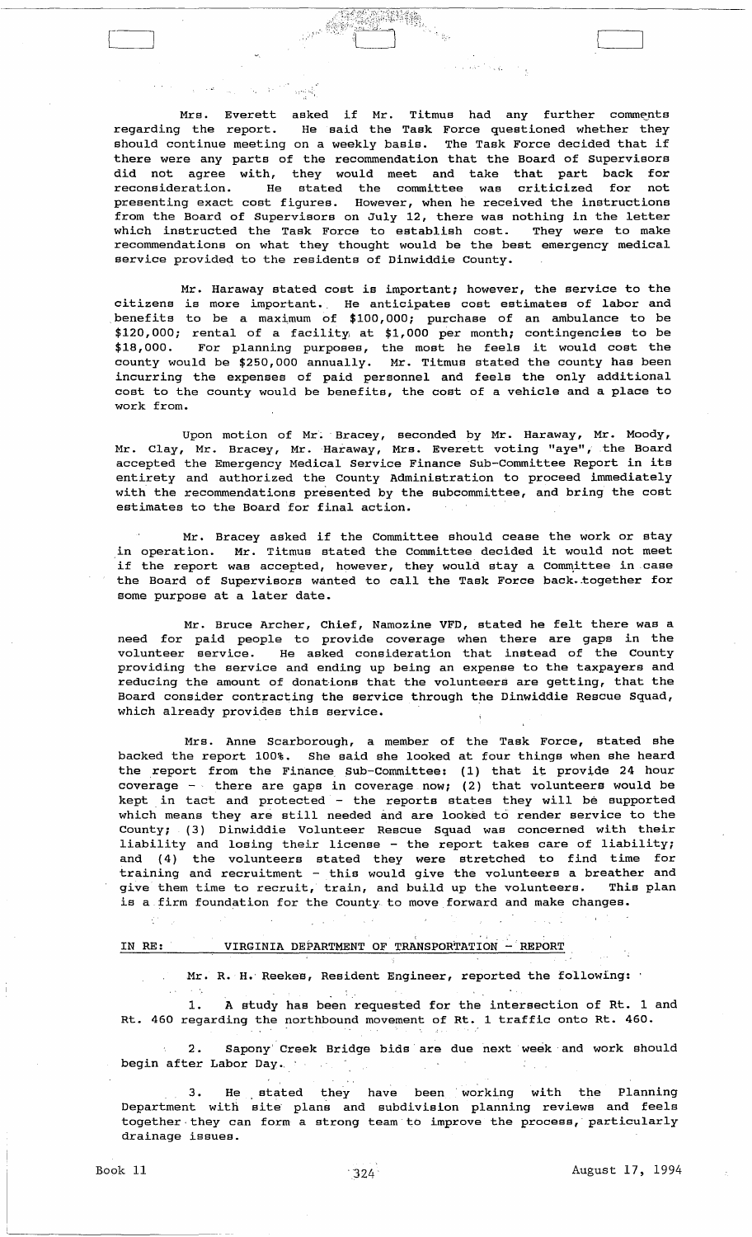#### $\chi^2 \to \Psi^2 \to \chi^2_{\rm min}$  .  $\mathcal{L}_1 = \mathcal{L}_2$

 $\frac{1}{2}$  ,  $\frac{1}{2}$  ,  $\frac{1}{2}$  ,  $\frac{1}{2}$  ,  $\frac{1}{2}$  ,  $\frac{1}{2}$  ,  $\frac{1}{2}$  ,  $\frac{1}{2}$  ,  $\frac{1}{2}$  ,  $\frac{1}{2}$  ,  $\frac{1}{2}$  ,  $\frac{1}{2}$ 

Mrs. Everett asked if Mr. Titmus had any further comments<br>regarding the report. He said the Task Force questioned whether they He said the Task Force questioned whether they should continue meeting on a weekly basis. The Task Force decided that if there were any parts of the recommendation that the Board of Supervisors did not agree with, they would meet and take that part back for<br>reconsideration. He stated the committee was criticized for not He stated the committee was criticized for not presenting exact cost figures. However, when he received the instructions from the Board of Supervisors on July 12, there was nothing in the letter which instructed the Task Force to establish cost. They were to make recommendations on what they thought would be the best emergency medical service provided to the residents of Dinwiddie County.

e a san Naga

Mr. Haraway stated cost is important; however, the service to the citizens is more important., He anticipates cost estimates of labor and benefits to be a maximum of  $$100,000$ ; purchase of an ambulance to be \$120,000; rental of a facility, at \$1,000 per month; contingencies to be \$18,000. For planning purposes, the most he feels it would cost the county would be \$250,000 annually. Mr. Titmus stated the county has been incurring the expenses of paid personnel and feels the only additional cost to the county would be benefits, the cost of a vehicle and a place to work from.

Upon motion of Mr. Bracey, seconded by Mr. Haraway, Mr. Moody, Mr. Clay, Mr. Bracey, Mr. Haraway, Mrs. Everett voting "aye", the Board accepted the Emergency Medical Service Finance Sub-Committee Report in its entirety and authorized the County Administration to proceed immediately with the recommendations presented by the subcommittee, and bring the cost estimates to the Board for final action.

Mr. Bracey asked if the Committee should cease the work or stay In operation. Mr. Titmus stated the Committee should cease the work of stay if the report was accepted, however, they would stay a Committee in case the Board of Supervisors wanted to call the Task Force back.±ogether for some purpose at a later date.

Mr. Bruce Archer, Chief, Namozine VFD, stated he felt there was a need for paid people to provide coverage when there are gaps in the volunteer service. He asked consideration that instead of the County providing the service and ending up being an expense to the taxpayers and reducing the amount of donations that the volunteers are getting, that the Board consider contracting the service through the Dinwiddie Rescue Squad, which already provides this service.

Mrs. Anne Scarborough, a member of the Task Force, stated she backed the report 100%. She said she looked at four things when she heard the report from the Finance, Sub-Committee: (1) that it provide 24 hour coverage  $-\sqrt{ }$  there are gaps in coverage now; (2) that volunteers would be kept in tact and protected - the reports states they will be supported which means they are still needed and are looked to render service to the County; (3) Dinwiddie Volunteer Rescue Squad was concerned with their liability and losing their license - the report takes care of liability; and (4) the volunteers stated they were stretched to find time for training and recruitment - this would give the volunteers a breather and give them time to recruit, train, and build up the volunteers. This plan is a firm foundation for the county to move forward and make changes.

## IN RE: VIRGINIA DEPARTMENT OF TRANSPORTATION - REPORT

Mr. R. H. Reekes, Resident Engineer, reported the following:

1. A study has been requested for the intersection of Rt. 1 and Rt. 460 regarding the northbound movement of Rt. 1 traffic onto Rt. 460.

2. Sapony' Creek Bridge bids' are due next week and work should begin after Labor Day.

3. He stated they have been' working with the Planning Department with site' plans and subdivision planning reviews and feels together they can form a strong team to improve the process, particularly drainage issues.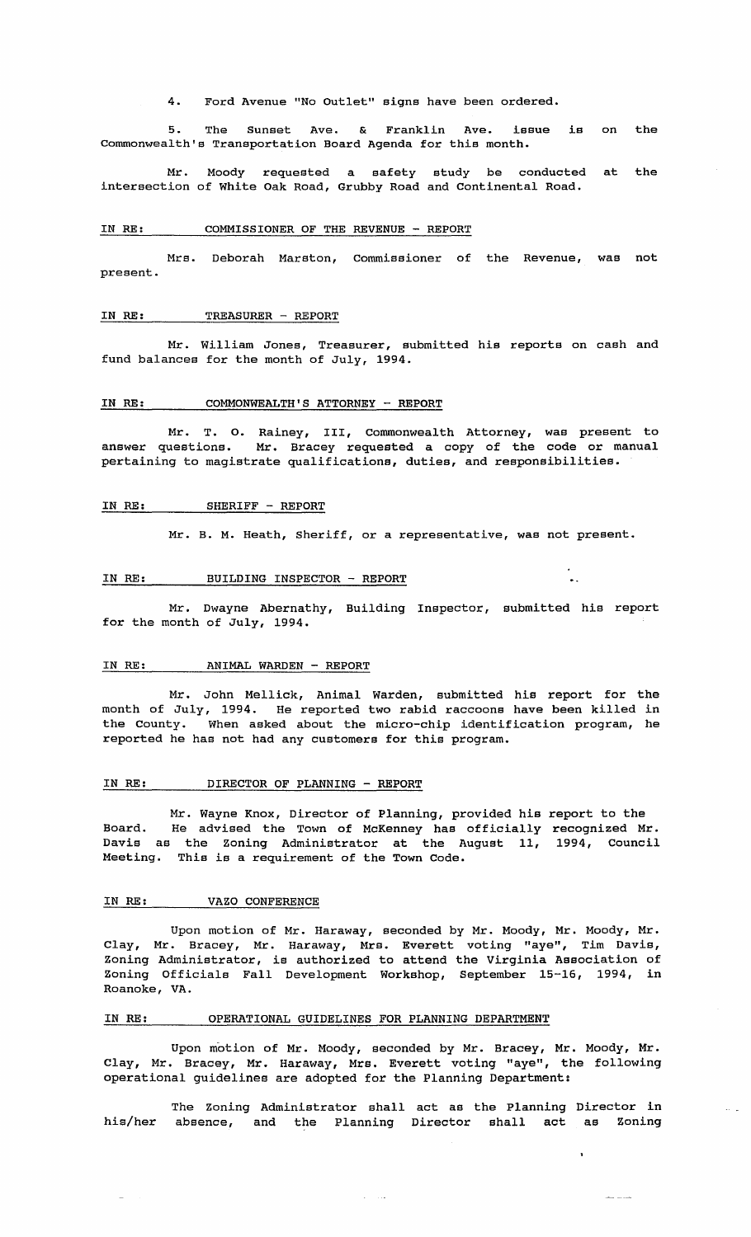4. Ford Avenue "No Outlet" signs have been ordered.

5. The Sunset Ave. & Franklin Ave. Commonwealth's Transportation Board Agenda for this month. issue is on the

Mr. Moody requested a safety study be conducted at the intersection of White Oak Road, Grubby Road and Continental Road.

## IN RE: COMMISSIONER OF THE REVENUE - REPORT

Mrs. Deborah Marston, Commissioner of the Revenue, was not present.

## IN RE: TREASURER - REPORT

Mr. William Jones, Treasurer, submitted his reports on cash and fund balances for the month of July, 1994.

### IN RE: COMMONWEALTH'S ATTORNEY - REPORT

Mr. T. O. Rainey, III, Commonwealth Attorney, was present to<br>answer questions. Mr. Bracev requested a copy of the code or manual Mr. Bracey requested a copy of the code or manual pertaining to magistrate qualifications, duties, and responsibilities.

## IN RE: SHERIFF - REPORT

Mr. B. M. Heath, Sheriff, or a representative, was not present.

 $\ddot{\phantom{a}}$ 

 $\bar{L}$  ,  $\bar{L}$ 

للمستنبذ المتعد

## IN RE: BUILDING INSPECTOR - REPORT

Mr. Dwayne Abernathy, Building Inspector, submitted his report for the month of July, 1994.

## IN RE: ANIMAL WARDEN - REPORT

Mr. John Mellick, Animal warden, submitted his report for the month of July, 1994. He reported two rabid raccoons have been killed in the County. When asked about the micro-chip identification program, he reported he has not had any customers for this program.

## IN RE: DIRECTOR OF PLANNING - REPORT

Mr. Wayne Knox, Director of Planning, provided his report to the Board. He advised the Town of McKenney has officially recognized Mr. Davis as the Zoning Administrator at the August 11, 1994, Council Meeting. This is a requirement of the Town Code.

#### IN RE: VAZO CONFERENCE

Upon motion of Mr. Haraway, seconded by Mr. Moody, Mr. Moody, Mr. Clay, Mr. Bracey, Mr. Haraway, Mrs. Everett voting "aye", Tim Davis, Zoning Administrator, is authorized to attend the Virginia Association of Zoning Officials Fall Development Workshop, September 15-16, 1994, *in*  Roanoke, VA.

## IN RE: OPERATIONAL GUIDELINES FOR PLANNING DEPARTMENT

Upon motion of Mr. Moody, seconded by Mr. Bracey, Mr. Moody, Mr. Clay, Mr. Bracey, Mr. Haraway, Mrs. Everett voting "aye", the following operational guidelines are adopted for the Planning Department:

The zoning Administrator shall act as the Planning Director *in*  his/her absence, and the Planning Director shall act as Zoning

 $\mathcal{A}=\{1,2\}$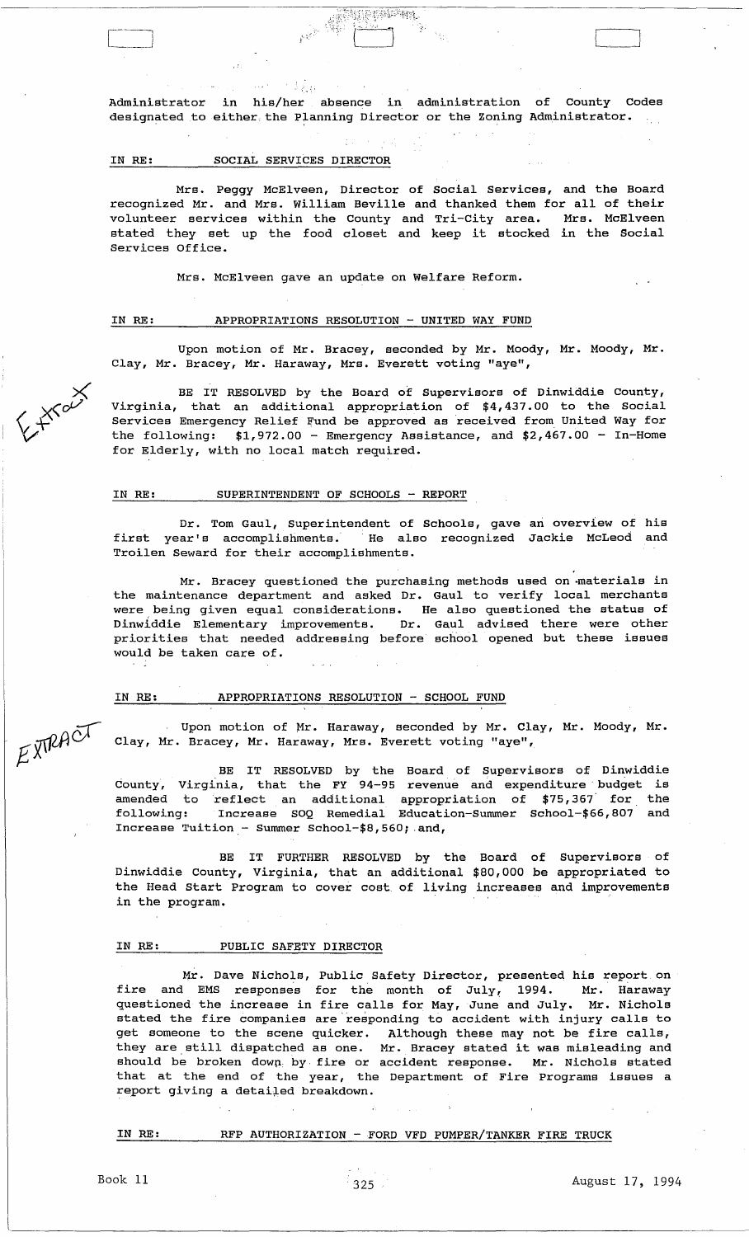$\label{eq:1} \phi(\mathbf{y},t) = \mathbb{E} \left[ \frac{1}{2} \int_{\mathbb{R}^d} \frac{1}{\xi} \mathbf{1} \right]$ Administrator in his/her absence in administration of County Codes designated to either the Planning Director or the Zoning Administrator.

 $\bar{\mathcal{E}}$  .

**MARK PARTIES** 

### IN RE: SOCIAL SERVICES DIRECTOR

Mrs. Peggy McElveen, Director of Social Services, and the Board recognized Mr. and Mrs. William Beville and thanked them for all of their volunteer services within the County and Tri-City area. Mrs. McElveen stated they set up the food closet and keep it stocked in the Social Services Office.

Mrs. McElveen gave an update on Welfare Reform.

## IN RE: APPROPRIATIONS RESOLUTION - UNITED WAY FUND

Upon motion of Mr. Bracey, seconded by Mr. Moody, Mr. Moody, Mr. Clay, Mr. Bracey, Mr. Haraway, Mrs. Everett voting "aye",

BE IT RESOLVED by the Board of Supervisors of Dinwiddie County, Virginia, that an additional appropriation of \$4,437.00 to the Social Services Emergency Relief Fund be approved as received from United Way for the following:  $$1,972.00$  - Emergency Assistance, and  $$2,467.00$  - In-Home for Elderly, with no local match required.

#### IN RE: SUPERINTENDENT OF SCHOOLS - REPORT

Dr. Tom Gaul, Superintendent of Schools, gave an overview of his first year's accomplishments. He also recognized Jackie McLeod and Troilen Seward for their accomplishments.

Mr. Bracey questioned the purchasing methods used on ·materials in the maintenance department and asked Dr. Gaul to verify local merchants were being given equal considerations. He also questioned the status of Dinwiddie Elementary improvements. Dr. Gaul advised there were other priorities that needed addressing before school opened but these issues would be taken care of.

## IN RE: APPROPRIATIONS RESOLUTION - SCHOOL FUND

Upon motion of Mr. Haraway, seconded by Mr. Clay, Mr. Moody, Mr. Clay, Mr. Bracey, Mr. Haraway, Mrs. Everett voting "aye",

BE IT RESOLVED by the Board of Supervisors of Dinwiddie dounty, Virginia, that the FY 94-95 revenue and expenditure· budget is amended to reflect an additional appropriation of \$75,367 for the following: Increase SOQ Remedial Education-Summer School-\$66,B07 and Increase Tuition - Summer School- $$8,560;$  and,

BE IT FURTHER RESOLVED by the Board of Dinwiddie County, Virginia, that an additional \$BO,OOO be the Head Start Program to cover cost of living increases and improvements in the program. Supervisors of appropriated to

## IN RE: PUBLIC SAFETY DIRECTOR

Mr. Dave Nichols, Public Safety Director, presented his report on fire and EMS responses for the month of July, 1994. Mr. Haraway questioned the increase in fire calls for May, June and July. Mr. Nichols stated the fire companies are 'responding to accident with injury calls to get someone to the scene quicker. Although these may not be fire calls, yet someone to the stene quitter. Although these may not be life calls,<br>they are still dispatched as one. Mr. Bracey stated it was misleading and should be broken down by fire or accident response. Mr. Nichols stated that at the end of the year, the Department of Fire Programs issues a report giving a detailed breakdown.

## IN RE: RFP AUTHORIZATION - FORD VFD PUMPER/TANKER FIRE TRUCK

Expans

EXTRACT



 $\begin{bmatrix} \phantom{-} \end{bmatrix}$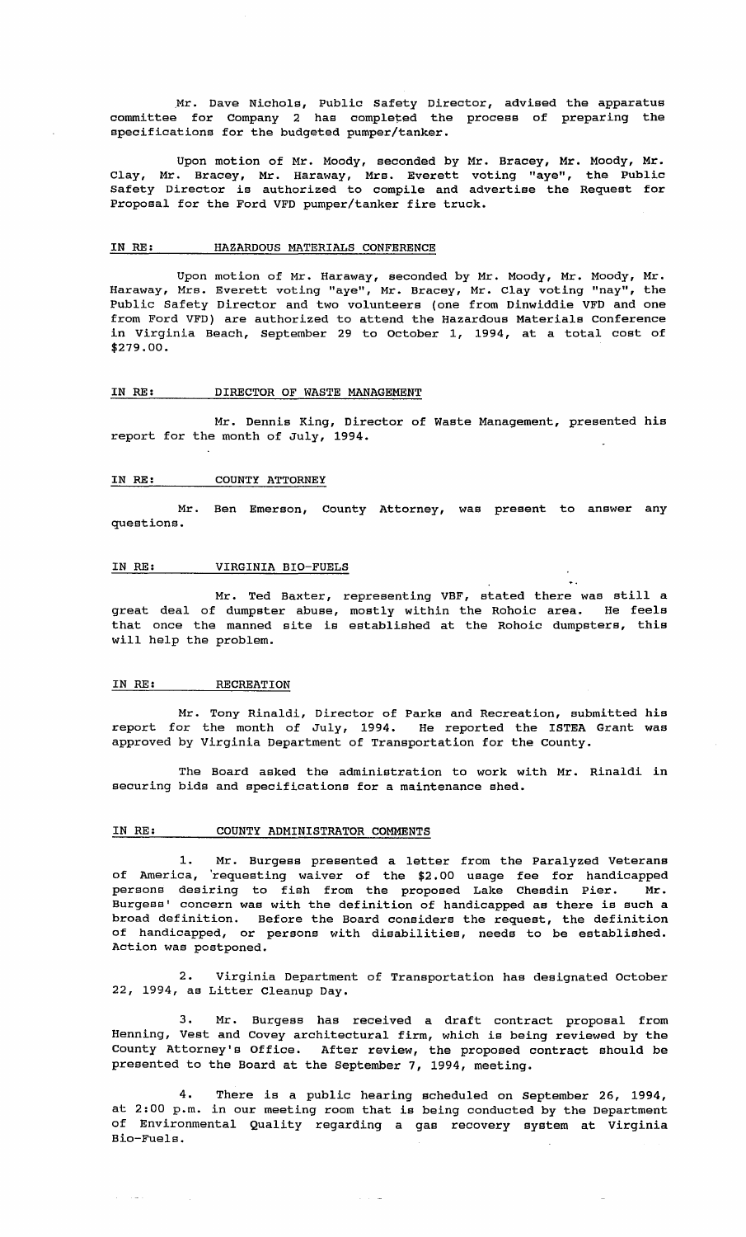.Mr. Dave Nichols, Public Safety Director, advised the apparatus committee for Company 2 has completed the process of preparing the specifications for the budgeted pumper/tanker.

Upon motion of Mr. Moody, seconded by Mr. Bracey, Mr. Moody, Mr. Clay, Mr. Bracey, Mr. Haraway, Mrs. Everett voting "aye", the Public Safety Director is authorized to compile and advertise the Request for Proposal for the Ford VFD pumper/tanker fire truck.

## IN RE: HAZARDOUS MATERIALS CONFERENCE

Upon motion of Mr. Haraway, seconded by Mr. Moody, Mr. Moody, Mr. Haraway, Mrs. Everett voting "aye", Mr. Bracey, Mr. Clay voting "nay", the Public Safety Director and two volunteers (one from Dinwiddie VFD and one from Ford VFD) are authorized to attend the Hazardous Materials Conference in Virginia Beach, September 29 to October 1, 1994, at a total cost of \$279.00.

## IN RE: DIRECTOR OF WASTE MANAGEMENT

Mr. Dennis King, Director of Waste Management, presented his report for the month of July, 1994.

## IN RE: COUNTY ATTORNEY

Mr. Ben Emerson, County Attorney, was present to answer any questions.

### IN RE: VIRGINIA BIO-FUELS

Mr. Ted Baxter, representing VBF, stated there was still a great deal of dumpster abuse, mostly within the Rohoic area. He feels that once the manned site is established at the Rohoic dumpsters, this will help the problem.

#### IN RE: RECREATION

Mr. Tony Rinaldi, Director of Parks and Recreation, submitted his report for the month of July, 1994. He reported the ISTEA Grant was approved by Virginia Department of Transportation for the County.

The Board asked the administration to work with Mr. Rinaldi *in*  securing bids and specifications for a maintenance shed.

## IN RE: COUNTY ADMINISTRATOR COMMENTS

1. Mr. Burgess presented a letter from the Paralyzed Veterans of America, 'requesting waiver of the \$2.00 usage fee for handicapped persons desiring to fish from the proposed Lake Chesdin Pier. Mr. Burgess' concern was with the definition of handicapped as there is such a broad definition. Before the Board considers the request, the definition of handicapped, or persons with disabilities, needs to be established. Action was postponed.

2. Virginia Department of Transportation has designated October 22, 1994, as Litter Cleanup Day.

3. Mr. Burgess has received a draft contract proposal from Henning, Vest and Covey architectural firm, which is being reviewed by the County Attorney's Office. After review, the proposed contract should be presented to the Board at the September 7, 1994, meeting.

4. There is a public hearing scheduled on September 26, 1994, at 2:00 p.m. in our meeting room that is being conducted by the Department of Environmental Quality regarding a gas recovery system at Virginia Bio-Fuels.

 $\alpha$  ,  $\beta$  ,  $\alpha$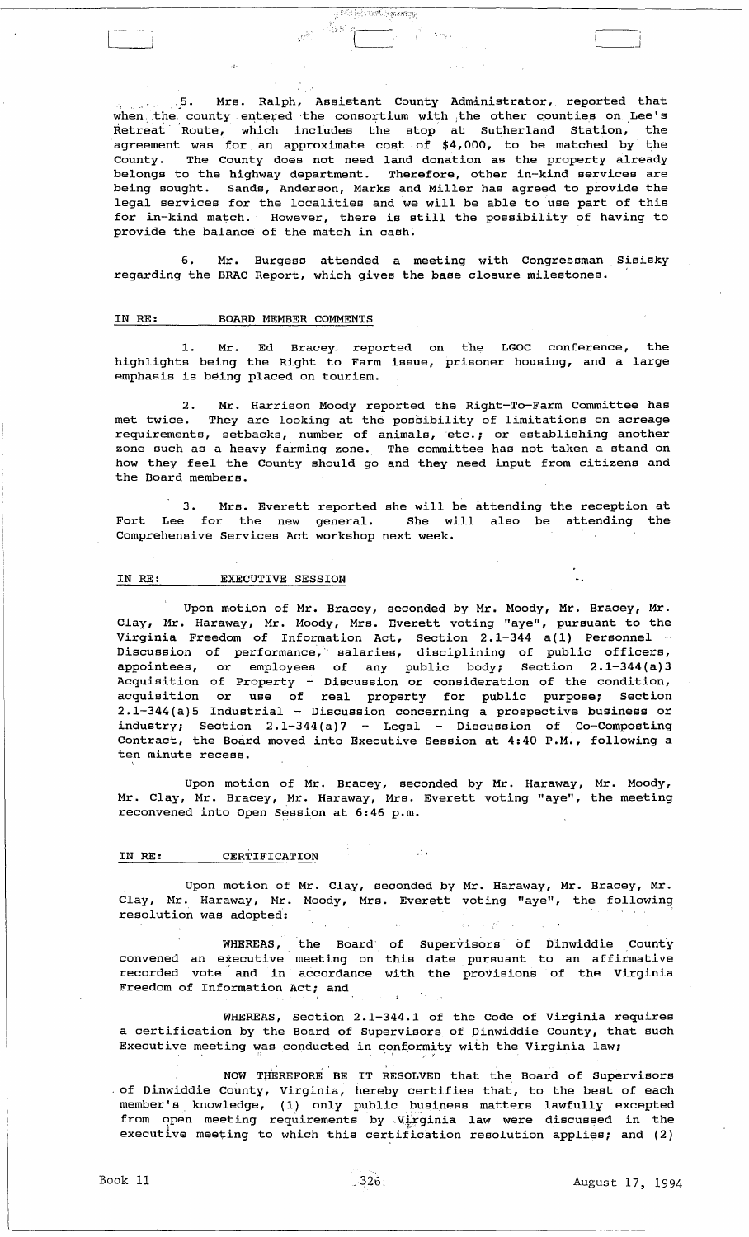..5. Mrs. Ralph, Assistant County Administrator, reported that when the county entered the consortium with the other counties on Lee's Retreat  $\hbox{\tt Route,}$  which includes the stop at Sutherland Station, the 'agreement was for. an approximate cost of \$4, 000, to be matched by the County. The County does not need land donation as the property already belongs to the highway department. Therefore, other in-kind services are being sought. Sands, Anderson, Marks and Miller has agreed to provide the legal services for the localities and we will be able to use part of this for in-kind match. However, there is still the possibility of having to provide the balance of the match in cash.

**Finding Construction** 

់ខ្មែរ។

6. Mr. Burgess attended a meeting with Congressman Sisisky regarding the BRAC Report, which gives the base closure milestones.

## IN RE: BOARD MEMBER COMMENTS

1. Mr. Ed Bracey. reported on the LGOC conference, the highlights being the Right to Farm issue, prisoner housing, and a large emphasis is being placed on tourism.

2. Mr. Harrison Moody reported the Right-To-Farm committee has met twice. They are looking at the possibility of limitations on acreage requirements, setbacks, number of animals, etc.; or establishing another zone such as a heavy farming zone. The committee has not taken a stand on how they feel the county should go and they need input from citizens and the Board members.

3. Mrs. Everett reported she will be attending the reception at<br>a for the new general. She will also be attending the Fort Lee for the new general. She will also be attending the Comprehensive Services Act workshop next week.

## IN RE: EXECUTIVE SESSION

Upon motion of Mr. Bracey, seconded by Mr. Moody, Mr. Bracey, Mr. Clay, Mr. Haraway, Mr. Moody, Mrs. Everett voting "aye", pursuant to the Virginia Freedom of Information Act, section 2.1-344 a(l) Personnel Discussion of performance,'" salaries, disciplining of public officers, appointees, or employees of any public body; section 2.1-344(a)3 Acquisition of Property - Discussion or consideration of the condition, acquisition or use of real property for public purpose; section 2.1-344 (a) 5 Industrial - Discussion concerning a prospective business or industry; Section  $2.1-344(a)7$  - Legal - Discussion of Co-Composting Contract, the Board moved into Executive Session at 4:40 P.M., following a ten minute recess.

Upon motion of Mr. Bracey, seconded by Mr. Haraway, Mr. Clay, Mr. Bracey, Mr. Haraway, Mrs. Everett voting "aye", reconvened into Open Session at 6:46 p.m. Mr. Moody, the meeting

## IN RE: CERTIFICATION

Upon motion of Mr. Clay, seconded by Mr. Haraway, Mr. Bracey, Mr. Clay, Mr. Haraway, Mr. Moody, Mrs. Everett voting "aye", the following resolution was adopted:  $\mathcal{D}^{\mathcal{C}}$ 

in dia

WHEREAS, the Board' of Supervisors of Dinwiddie County convened an executive meeting on this date pursuant to an affirmative recorded vote and in accordance with the provisions of the Virginia Freedom of Information Act; and

WHEREAS, section 2.1-344.1 of the Code of Virginia requires a certification by the Board of Supervisors of Dinwiddie County, that such Executive meeting was conducted in conformity with the Virginia law;

NOW THEREFORE BE IT RESOLVED that the Board of Supervisors of Dinwiddie County, Virginia, hereby certifies that, to the best of each member's knowledge, (1) only public business matters lawfully excepted from open meeting requirements by Virginia law were discussed in the executive meeting to which this certification resolution applies; and (2)